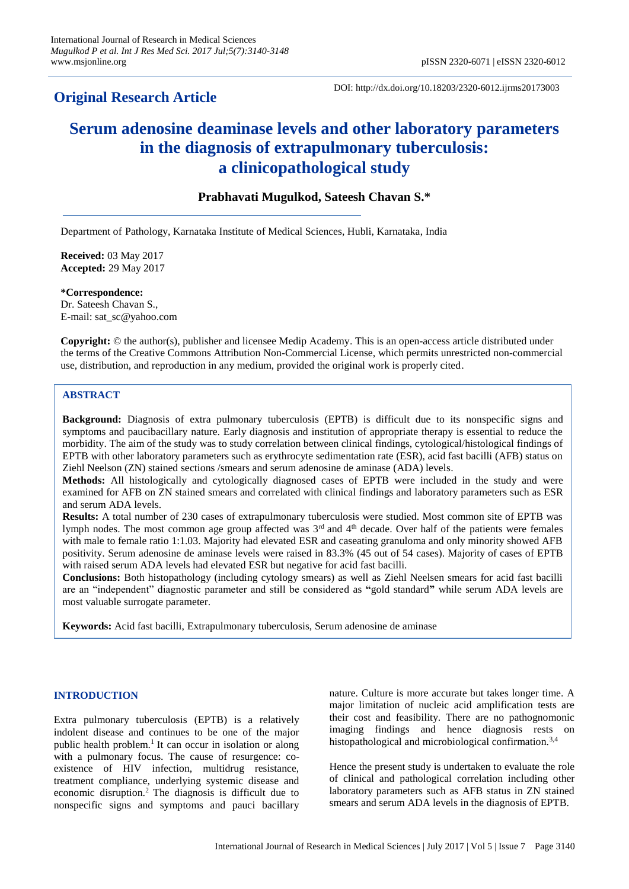# **Original Research Article**

DOI: http://dx.doi.org/10.18203/2320-6012.ijrms20173003

# **Serum adenosine deaminase levels and other laboratory parameters in the diagnosis of extrapulmonary tuberculosis: a clinicopathological study**

# **Prabhavati Mugulkod, Sateesh Chavan S.\***

Department of Pathology, Karnataka Institute of Medical Sciences, Hubli, Karnataka, India

**Received:** 03 May 2017 **Accepted:** 29 May 2017

**\*Correspondence:** Dr. Sateesh Chavan S., E-mail: sat\_sc@yahoo.com

**Copyright:** © the author(s), publisher and licensee Medip Academy. This is an open-access article distributed under the terms of the Creative Commons Attribution Non-Commercial License, which permits unrestricted non-commercial use, distribution, and reproduction in any medium, provided the original work is properly cited.

# **ABSTRACT**

**Background:** Diagnosis of extra pulmonary tuberculosis (EPTB) is difficult due to its nonspecific signs and symptoms and paucibacillary nature. Early diagnosis and institution of appropriate therapy is essential to reduce the morbidity. The aim of the study was to study correlation between clinical findings, cytological/histological findings of EPTB with other laboratory parameters such as erythrocyte sedimentation rate (ESR), acid fast bacilli (AFB) status on Ziehl Neelson (ZN) stained sections /smears and serum adenosine de aminase (ADA) levels.

**Methods:** All histologically and cytologically diagnosed cases of EPTB were included in the study and were examined for AFB on ZN stained smears and correlated with clinical findings and laboratory parameters such as ESR and serum ADA levels.

**Results:** A total number of 230 cases of extrapulmonary tuberculosis were studied. Most common site of EPTB was lymph nodes. The most common age group affected was 3<sup>rd</sup> and 4<sup>th</sup> decade. Over half of the patients were females with male to female ratio 1:1.03. Majority had elevated ESR and caseating granuloma and only minority showed AFB positivity. Serum adenosine de aminase levels were raised in 83.3% (45 out of 54 cases). Majority of cases of EPTB with raised serum ADA levels had elevated ESR but negative for acid fast bacilli.

**Conclusions:** Both histopathology (including cytology smears) as well as Ziehl Neelsen smears for acid fast bacilli are an "independent" diagnostic parameter and still be considered as **"**gold standard**"** while serum ADA levels are most valuable surrogate parameter.

**Keywords:** Acid fast bacilli, Extrapulmonary tuberculosis, Serum adenosine de aminase

#### **INTRODUCTION**

Extra pulmonary tuberculosis (EPTB) is a relatively indolent disease and continues to be one of the major public health problem.<sup>1</sup> It can occur in isolation or along with a pulmonary focus. The cause of resurgence: coexistence of HIV infection, multidrug resistance, treatment compliance, underlying systemic disease and economic disruption.<sup>2</sup> The diagnosis is difficult due to nonspecific signs and symptoms and pauci bacillary nature. Culture is more accurate but takes longer time. A major limitation of nucleic acid amplification tests are their cost and feasibility. There are no pathognomonic imaging findings and hence diagnosis rests on histopathological and microbiological confirmation.<sup>3,4</sup>

Hence the present study is undertaken to evaluate the role of clinical and pathological correlation including other laboratory parameters such as AFB status in ZN stained smears and serum ADA levels in the diagnosis of EPTB.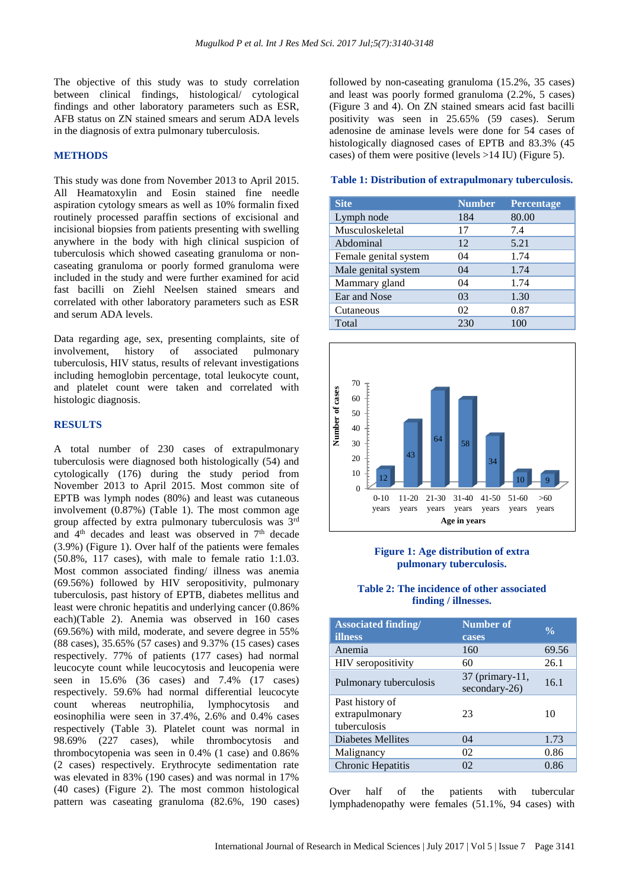The objective of this study was to study correlation between clinical findings, histological/ cytological findings and other laboratory parameters such as ESR, AFB status on ZN stained smears and serum ADA levels in the diagnosis of extra pulmonary tuberculosis.

### **METHODS**

This study was done from November 2013 to April 2015. All Heamatoxylin and Eosin stained fine needle aspiration cytology smears as well as 10% formalin fixed routinely processed paraffin sections of excisional and incisional biopsies from patients presenting with swelling anywhere in the body with high clinical suspicion of tuberculosis which showed caseating granuloma or noncaseating granuloma or poorly formed granuloma were included in the study and were further examined for acid fast bacilli on Ziehl Neelsen stained smears and correlated with other laboratory parameters such as ESR and serum ADA levels.

Data regarding age, sex, presenting complaints, site of involvement, history of associated pulmonary tuberculosis, HIV status, results of relevant investigations including hemoglobin percentage, total leukocyte count, and platelet count were taken and correlated with histologic diagnosis.

#### **RESULTS**

A total number of 230 cases of extrapulmonary tuberculosis were diagnosed both histologically (54) and cytologically (176) during the study period from November 2013 to April 2015. Most common site of EPTB was lymph nodes (80%) and least was cutaneous involvement (0.87%) (Table 1). The most common age group affected by extra pulmonary tuberculosis was 3rd and 4<sup>th</sup> decades and least was observed in 7<sup>th</sup> decade (3.9%) (Figure 1). Over half of the patients were females (50.8%, 117 cases), with male to female ratio 1:1.03. Most common associated finding/ illness was anemia (69.56%) followed by HIV seropositivity, pulmonary tuberculosis, past history of EPTB, diabetes mellitus and least were chronic hepatitis and underlying cancer (0.86% each)(Table 2). Anemia was observed in 160 cases (69.56%) with mild, moderate, and severe degree in 55% (88 cases), 35.65% (57 cases) and 9.37% (15 cases) cases respectively. 77% of patients (177 cases) had normal leucocyte count while leucocytosis and leucopenia were seen in 15.6% (36 cases) and 7.4% (17 cases) respectively. 59.6% had normal differential leucocyte count whereas neutrophilia, lymphocytosis and eosinophilia were seen in 37.4%, 2.6% and 0.4% cases respectively (Table 3). Platelet count was normal in 98.69% (227 cases), while thrombocytosis and thrombocytopenia was seen in 0.4% (1 case) and 0.86% (2 cases) respectively. Erythrocyte sedimentation rate was elevated in 83% (190 cases) and was normal in 17% (40 cases) (Figure 2). The most common histological pattern was caseating granuloma (82.6%, 190 cases) followed by non-caseating granuloma (15.2%, 35 cases) and least was poorly formed granuloma (2.2%, 5 cases) (Figure 3 and 4). On ZN stained smears acid fast bacilli positivity was seen in 25.65% (59 cases). Serum adenosine de aminase levels were done for 54 cases of histologically diagnosed cases of EPTB and 83.3% (45 cases) of them were positive (levels >14 IU) (Figure 5).

#### **Table 1: Distribution of extrapulmonary tuberculosis.**

| <b>Site</b>           | <b>Number</b> | <b>Percentage</b> |
|-----------------------|---------------|-------------------|
| Lymph node            | 184           | 80.00             |
| Musculoskeletal       | 17            | 7.4               |
| Abdominal             | 12            | 5.21              |
| Female genital system | 04            | 1.74              |
| Male genital system   | 04            | 1.74              |
| Mammary gland         | 04            | 1.74              |
| Ear and Nose          | 03            | 1.30              |
| Cutaneous             | 02            | 0.87              |
| Total                 | 230           | 100               |



## **Figure 1: Age distribution of extra pulmonary tuberculosis.**

#### **Table 2: The incidence of other associated finding / illnesses.**

| <b>Associated finding/</b><br>illness             | <b>Number of</b><br>cases          | $\frac{0}{\alpha}$ |
|---------------------------------------------------|------------------------------------|--------------------|
| Anemia                                            | 160                                | 69.56              |
| <b>HIV</b> seropositivity                         | 60                                 | 26.1               |
| Pulmonary tuberculosis                            | $37$ (primary-11,<br>secondary-26) | 16.1               |
| Past history of<br>extrapulmonary<br>tuberculosis | 23                                 | 10                 |
| Diabetes Mellites                                 | 04                                 | 1.73               |
| Malignancy                                        | 02                                 | 0.86               |
| Chronic Hepatitis                                 | 02                                 | 0.86               |

Over half of the patients with tubercular lymphadenopathy were females (51.1%, 94 cases) with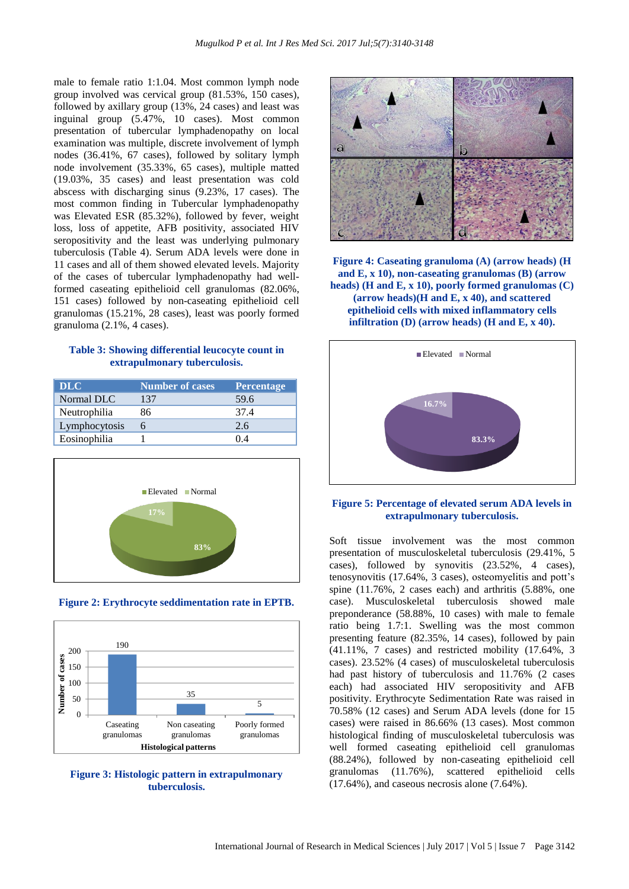male to female ratio 1:1.04. Most common lymph node group involved was cervical group (81.53%, 150 cases), followed by axillary group (13%, 24 cases) and least was inguinal group (5.47%, 10 cases). Most common presentation of tubercular lymphadenopathy on local examination was multiple, discrete involvement of lymph nodes (36.41%, 67 cases), followed by solitary lymph node involvement (35.33%, 65 cases), multiple matted (19.03%, 35 cases) and least presentation was cold abscess with discharging sinus (9.23%, 17 cases). The most common finding in Tubercular lymphadenopathy was Elevated ESR (85.32%), followed by fever, weight loss, loss of appetite, AFB positivity, associated HIV seropositivity and the least was underlying pulmonary tuberculosis (Table 4). Serum ADA levels were done in 11 cases and all of them showed elevated levels. Majority of the cases of tubercular lymphadenopathy had wellformed caseating epithelioid cell granulomas (82.06%, 151 cases) followed by non-caseating epithelioid cell granulomas (15.21%, 28 cases), least was poorly formed granuloma (2.1%, 4 cases).

#### **Table 3: Showing differential leucocyte count in extrapulmonary tuberculosis.**

| <b>DLC</b>    | <b>Number of cases</b> | Percentage |
|---------------|------------------------|------------|
| Normal DLC    | 137                    | 59.6       |
| Neutrophilia  | 86                     | 37.4       |
| Lymphocytosis |                        | 2.6        |
| Eosinophilia  |                        | 04         |



**Figure 2: Erythrocyte seddimentation rate in EPTB.**



**Figure 3: Histologic pattern in extrapulmonary tuberculosis.**



**Figure 4: Caseating granuloma (A) (arrow heads) (H and E, x 10), non-caseating granulomas (B) (arrow heads) (H and E, x 10), poorly formed granulomas (C) (arrow heads)(H and E, x 40), and scattered epithelioid cells with mixed inflammatory cells infiltration (D) (arrow heads) (H and E, x 40).**



#### **Figure 5: Percentage of elevated serum ADA levels in extrapulmonary tuberculosis.**

Soft tissue involvement was the most common presentation of musculoskeletal tuberculosis (29.41%, 5 cases), followed by synovitis (23.52%, 4 cases), tenosynovitis (17.64%, 3 cases), osteomyelitis and pott's spine (11.76%, 2 cases each) and arthritis (5.88%, one case). Musculoskeletal tuberculosis showed male preponderance (58.88%, 10 cases) with male to female ratio being 1.7:1. Swelling was the most common presenting feature (82.35%, 14 cases), followed by pain (41.11%, 7 cases) and restricted mobility (17.64%, 3 cases). 23.52% (4 cases) of musculoskeletal tuberculosis had past history of tuberculosis and 11.76% (2 cases each) had associated HIV seropositivity and AFB positivity. Erythrocyte Sedimentation Rate was raised in 70.58% (12 cases) and Serum ADA levels (done for 15 cases) were raised in 86.66% (13 cases). Most common histological finding of musculoskeletal tuberculosis was well formed caseating epithelioid cell granulomas (88.24%), followed by non-caseating epithelioid cell granulomas (11.76%), scattered epithelioid cells (17.64%), and caseous necrosis alone (7.64%).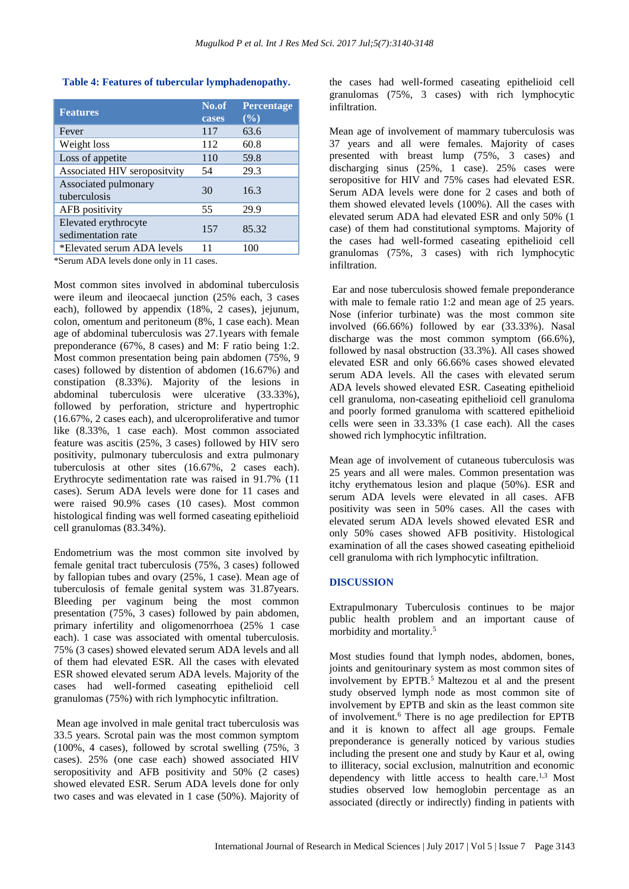## **Table 4: Features of tubercular lymphadenopathy.**

| <b>Features</b>                            | No.of<br>cases | <b>Percentage</b><br>(%) |
|--------------------------------------------|----------------|--------------------------|
| Fever                                      | 117            | 63.6                     |
| Weight loss                                | 112            | 60.8                     |
| Loss of appetite                           | 110            | 59.8                     |
| Associated HIV seropositvity               | 54             | 29.3                     |
| Associated pulmonary<br>tuberculosis       | 30             | 16.3                     |
| AFB positivity                             | 55             | 29.9                     |
| Elevated erythrocyte<br>sedimentation rate | 157            | 85.32                    |
| *Elevated serum ADA levels                 | 11             | 100                      |

\*Serum ADA levels done only in 11 cases.

Most common sites involved in abdominal tuberculosis were ileum and ileocaecal junction (25% each, 3 cases each), followed by appendix (18%, 2 cases), jejunum, colon, omentum and peritoneum (8%, 1 case each). Mean age of abdominal tuberculosis was 27.1years with female preponderance (67%, 8 cases) and M: F ratio being 1:2. Most common presentation being pain abdomen (75%, 9 cases) followed by distention of abdomen (16.67%) and constipation (8.33%). Majority of the lesions in abdominal tuberculosis were ulcerative (33.33%), followed by perforation, stricture and hypertrophic (16.67%, 2 cases each), and ulceroproliferative and tumor like (8.33%, 1 case each). Most common associated feature was ascitis (25%, 3 cases) followed by HIV sero positivity, pulmonary tuberculosis and extra pulmonary tuberculosis at other sites (16.67%, 2 cases each). Erythrocyte sedimentation rate was raised in 91.7% (11 cases). Serum ADA levels were done for 11 cases and were raised 90.9% cases (10 cases). Most common histological finding was well formed caseating epithelioid cell granulomas (83.34%).

Endometrium was the most common site involved by female genital tract tuberculosis (75%, 3 cases) followed by fallopian tubes and ovary (25%, 1 case). Mean age of tuberculosis of female genital system was 31.87years. Bleeding per vaginum being the most common presentation (75%, 3 cases) followed by pain abdomen, primary infertility and oligomenorrhoea (25% 1 case each). 1 case was associated with omental tuberculosis. 75% (3 cases) showed elevated serum ADA levels and all of them had elevated ESR. All the cases with elevated ESR showed elevated serum ADA levels. Majority of the cases had well-formed caseating epithelioid cell granulomas (75%) with rich lymphocytic infiltration.

Mean age involved in male genital tract tuberculosis was 33.5 years. Scrotal pain was the most common symptom (100%, 4 cases), followed by scrotal swelling (75%, 3 cases). 25% (one case each) showed associated HIV seropositivity and AFB positivity and 50% (2 cases) showed elevated ESR. Serum ADA levels done for only two cases and was elevated in 1 case (50%). Majority of the cases had well-formed caseating epithelioid cell granulomas (75%, 3 cases) with rich lymphocytic infiltration.

Mean age of involvement of mammary tuberculosis was 37 years and all were females. Majority of cases presented with breast lump (75%, 3 cases) and discharging sinus (25%, 1 case). 25% cases were seropositive for HIV and 75% cases had elevated ESR. Serum ADA levels were done for 2 cases and both of them showed elevated levels (100%). All the cases with elevated serum ADA had elevated ESR and only 50% (1 case) of them had constitutional symptoms. Majority of the cases had well-formed caseating epithelioid cell granulomas (75%, 3 cases) with rich lymphocytic infiltration.

Ear and nose tuberculosis showed female preponderance with male to female ratio 1:2 and mean age of 25 years. Nose (inferior turbinate) was the most common site involved (66.66%) followed by ear (33.33%). Nasal discharge was the most common symptom (66.6%), followed by nasal obstruction (33.3%). All cases showed elevated ESR and only 66.66% cases showed elevated serum ADA levels. All the cases with elevated serum ADA levels showed elevated ESR. Caseating epithelioid cell granuloma, non-caseating epithelioid cell granuloma and poorly formed granuloma with scattered epithelioid cells were seen in 33.33% (1 case each). All the cases showed rich lymphocytic infiltration.

Mean age of involvement of cutaneous tuberculosis was 25 years and all were males. Common presentation was itchy erythematous lesion and plaque (50%). ESR and serum ADA levels were elevated in all cases. AFB positivity was seen in 50% cases. All the cases with elevated serum ADA levels showed elevated ESR and only 50% cases showed AFB positivity. Histological examination of all the cases showed caseating epithelioid cell granuloma with rich lymphocytic infiltration.

# **DISCUSSION**

Extrapulmonary Tuberculosis continues to be major public health problem and an important cause of morbidity and mortality.<sup>5</sup>

Most studies found that lymph nodes, abdomen, bones, joints and genitourinary system as most common sites of involvement by  $EPTB$ <sup>5</sup> Maltezou et al and the present study observed lymph node as most common site of involvement by EPTB and skin as the least common site of involvement.<sup>6</sup> There is no age predilection for EPTB and it is known to affect all age groups. Female preponderance is generally noticed by various studies including the present one and study by Kaur et al, owing to illiteracy, social exclusion, malnutrition and economic dependency with little access to health care.<sup>1,3</sup> Most studies observed low hemoglobin percentage as an associated (directly or indirectly) finding in patients with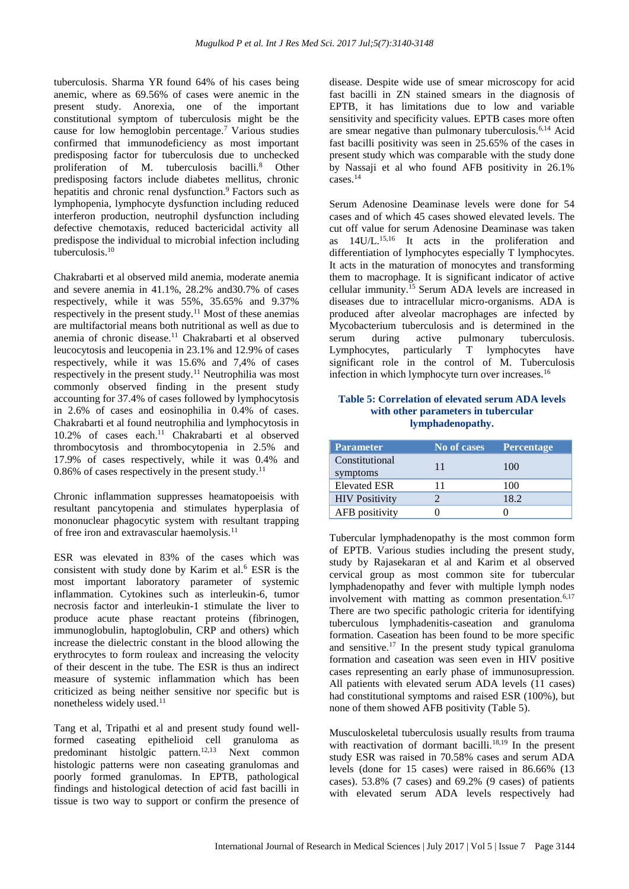tuberculosis. Sharma YR found 64% of his cases being anemic, where as 69.56% of cases were anemic in the present study. Anorexia, one of the important constitutional symptom of tuberculosis might be the cause for low hemoglobin percentage.<sup>7</sup> Various studies confirmed that immunodeficiency as most important predisposing factor for tuberculosis due to unchecked proliferation of M. tuberculosis bacilli.<sup>8</sup> Other predisposing factors include diabetes mellitus, chronic hepatitis and chronic renal dysfunction.<sup>9</sup> Factors such as lymphopenia, lymphocyte dysfunction including reduced interferon production, neutrophil dysfunction including defective chemotaxis, reduced bactericidal activity all predispose the individual to microbial infection including tuberculosis.<sup>10</sup>

Chakrabarti et al observed mild anemia, moderate anemia and severe anemia in 41.1%, 28.2% and30.7% of cases respectively, while it was 55%, 35.65% and 9.37% respectively in the present study.<sup>11</sup> Most of these anemias are multifactorial means both nutritional as well as due to anemia of chronic disease.<sup>11</sup> Chakrabarti et al observed leucocytosis and leucopenia in 23.1% and 12.9% of cases respectively, while it was 15.6% and 7,4% of cases respectively in the present study.<sup>11</sup> Neutrophilia was most commonly observed finding in the present study accounting for 37.4% of cases followed by lymphocytosis in 2.6% of cases and eosinophilia in 0.4% of cases. Chakrabarti et al found neutrophilia and lymphocytosis in 10.2% of cases each.<sup>11</sup> Chakrabarti et al observed thrombocytosis and thrombocytopenia in 2.5% and 17.9% of cases respectively, while it was 0.4% and  $0.86\%$  of cases respectively in the present study.<sup>11</sup>

Chronic inflammation suppresses heamatopoeisis with resultant pancytopenia and stimulates hyperplasia of mononuclear phagocytic system with resultant trapping of free iron and extravascular haemolysis.<sup>11</sup>

ESR was elevated in 83% of the cases which was consistent with study done by Karim et al.<sup>6</sup> ESR is the most important laboratory parameter of systemic inflammation. Cytokines such as interleukin-6, tumor necrosis factor and interleukin-1 stimulate the liver to produce acute phase reactant proteins (fibrinogen, immunoglobulin, haptoglobulin, CRP and others) which increase the dielectric constant in the blood allowing the erythrocytes to form rouleax and increasing the velocity of their descent in the tube. The ESR is thus an indirect measure of systemic inflammation which has been criticized as being neither sensitive nor specific but is nonetheless widely used.<sup>11</sup>

Tang et al, Tripathi et al and present study found wellformed caseating epithelioid cell granuloma as predominant histolgic pattern.<sup>12,13</sup> Next common histologic patterns were non caseating granulomas and poorly formed granulomas. In EPTB, pathological findings and histological detection of acid fast bacilli in tissue is two way to support or confirm the presence of disease. Despite wide use of smear microscopy for acid fast bacilli in ZN stained smears in the diagnosis of EPTB, it has limitations due to low and variable sensitivity and specificity values. EPTB cases more often are smear negative than pulmonary tuberculosis.6,14 Acid fast bacilli positivity was seen in 25.65% of the cases in present study which was comparable with the study done by Nassaji et al who found AFB positivity in 26.1% cases.<sup>14</sup>

Serum Adenosine Deaminase levels were done for 54 cases and of which 45 cases showed elevated levels. The cut off value for serum Adenosine Deaminase was taken as 14U/L.15,16 It acts in the proliferation and differentiation of lymphocytes especially T lymphocytes. It acts in the maturation of monocytes and transforming them to macrophage. It is significant indicator of active cellular immunity.<sup>15</sup> Serum ADA levels are increased in diseases due to intracellular micro-organisms. ADA is produced after alveolar macrophages are infected by Mycobacterium tuberculosis and is determined in the serum during active pulmonary tuberculosis. Lymphocytes, particularly T lymphocytes have significant role in the control of M. Tuberculosis infection in which lymphocyte turn over increases.<sup>16</sup>

#### **Table 5: Correlation of elevated serum ADA levels with other parameters in tubercular lymphadenopathy.**

| <b>Parameter</b>           | No of cases | Percentage |
|----------------------------|-------------|------------|
| Constitutional<br>symptoms | 11          | 100        |
| <b>Elevated ESR</b>        | 11          | 100        |
| <b>HIV Positivity</b>      |             | 18.2       |
| AFB positivity             |             |            |

Tubercular lymphadenopathy is the most common form of EPTB. Various studies including the present study, study by Rajasekaran et al and Karim et al observed cervical group as most common site for tubercular lymphadenopathy and fever with multiple lymph nodes involvement with matting as common presentation.<sup>6,17</sup> There are two specific pathologic criteria for identifying tuberculous lymphadenitis-caseation and granuloma formation. Caseation has been found to be more specific and sensitive.<sup>17</sup> In the present study typical granuloma formation and caseation was seen even in HIV positive cases representing an early phase of immunosupression. All patients with elevated serum ADA levels (11 cases) had constitutional symptoms and raised ESR (100%), but none of them showed AFB positivity (Table 5).

Musculoskeletal tuberculosis usually results from trauma with reactivation of dormant bacilli.<sup>18,19</sup> In the present study ESR was raised in 70.58% cases and serum ADA levels (done for 15 cases) were raised in 86.66% (13 cases). 53.8% (7 cases) and 69.2% (9 cases) of patients with elevated serum ADA levels respectively had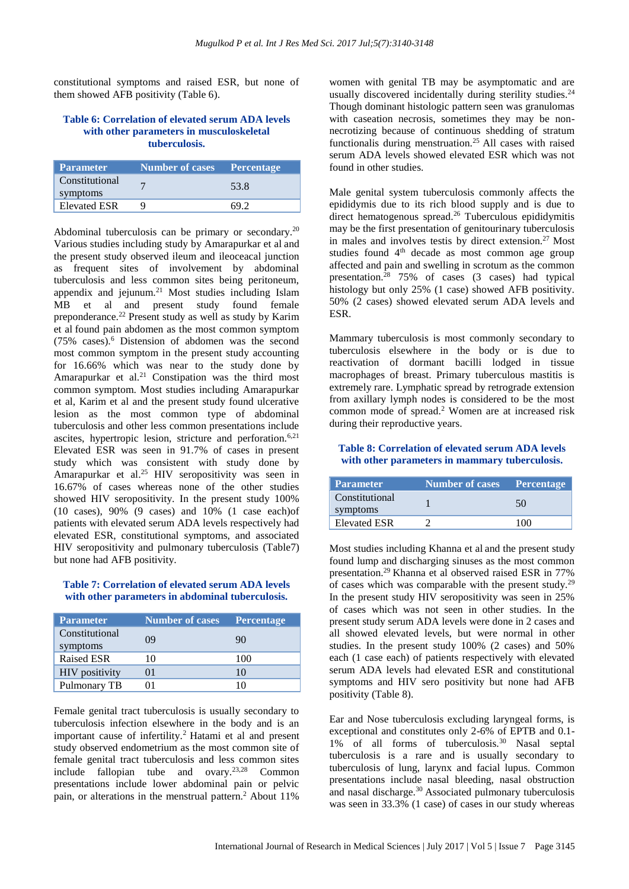constitutional symptoms and raised ESR, but none of them showed AFB positivity (Table 6).

#### **Table 6: Correlation of elevated serum ADA levels with other parameters in musculoskeletal tuberculosis.**

| <b>Parameter</b>           | Number of cases Percentage |      |
|----------------------------|----------------------------|------|
| Constitutional<br>symptoms |                            | 53.8 |
| <b>Elevated ESR</b>        |                            |      |

Abdominal tuberculosis can be primary or secondary.<sup>20</sup> Various studies including study by Amarapurkar et al and the present study observed ileum and ileoceacal junction as frequent sites of involvement by abdominal tuberculosis and less common sites being peritoneum, appendix and jejunum.<sup>21</sup> Most studies including Islam MB et al and present study found female preponderance.<sup>22</sup> Present study as well as study by Karim et al found pain abdomen as the most common symptom (75% cases).<sup>6</sup> Distension of abdomen was the second most common symptom in the present study accounting for 16.66% which was near to the study done by Amarapurkar et al.<sup>21</sup> Constipation was the third most common symptom. Most studies including Amarapurkar et al, Karim et al and the present study found ulcerative lesion as the most common type of abdominal tuberculosis and other less common presentations include ascites, hypertropic lesion, stricture and perforation.<sup>6,21</sup> Elevated ESR was seen in 91.7% of cases in present study which was consistent with study done by Amarapurkar et al. <sup>25</sup> HIV seropositivity was seen in 16.67% of cases whereas none of the other studies showed HIV seropositivity. In the present study 100% (10 cases), 90% (9 cases) and 10% (1 case each)of patients with elevated serum ADA levels respectively had elevated ESR, constitutional symptoms, and associated HIV seropositivity and pulmonary tuberculosis (Table7) but none had AFB positivity.

#### **Table 7: Correlation of elevated serum ADA levels with other parameters in abdominal tuberculosis.**

| <b>Parameter</b>           | <b>Number of cases</b> | <b>Percentage</b> |
|----------------------------|------------------------|-------------------|
| Constitutional<br>symptoms | 09                     | 90                |
| <b>Raised ESR</b>          | 10                     | 100               |
| <b>HIV</b> positivity      | $^{01}$                | 10                |
| Pulmonary TB               |                        |                   |

Female genital tract tuberculosis is usually secondary to tuberculosis infection elsewhere in the body and is an important cause of infertility.<sup>2</sup> Hatami et al and present study observed endometrium as the most common site of female genital tract tuberculosis and less common sites include fallopian tube and ovary.23,28 Common presentations include lower abdominal pain or pelvic pain, or alterations in the menstrual pattern.<sup>2</sup> About 11%

women with genital TB may be asymptomatic and are usually discovered incidentally during sterility studies. $24$ Though dominant histologic pattern seen was granulomas with caseation necrosis, sometimes they may be nonnecrotizing because of continuous shedding of stratum functionalis during menstruation.<sup>25</sup> All cases with raised serum ADA levels showed elevated ESR which was not found in other studies.

Male genital system tuberculosis commonly affects the epididymis due to its rich blood supply and is due to direct hematogenous spread.<sup>26</sup> Tuberculous epididymitis may be the first presentation of genitourinary tuberculosis in males and involves testis by direct extension.<sup>27</sup> Most studies found 4<sup>th</sup> decade as most common age group affected and pain and swelling in scrotum as the common presentation. <sup>28</sup> 75% of cases (3 cases) had typical histology but only 25% (1 case) showed AFB positivity. 50% (2 cases) showed elevated serum ADA levels and ESR.

Mammary tuberculosis is most commonly secondary to tuberculosis elsewhere in the body or is due to reactivation of dormant bacilli lodged in tissue macrophages of breast. Primary tuberculous mastitis is extremely rare. Lymphatic spread by retrograde extension from axillary lymph nodes is considered to be the most common mode of spread.<sup>2</sup> Women are at increased risk during their reproductive years.

# **Table 8: Correlation of elevated serum ADA levels with other parameters in mammary tuberculosis.**

| Parameter                  | Number of cases Percentage |        |
|----------------------------|----------------------------|--------|
| Constitutional<br>symptoms |                            | 50     |
| <b>Elevated ESR</b>        |                            | 17 N N |

Most studies including Khanna et al and the present study found lump and discharging sinuses as the most common presentation.<sup>29</sup>Khanna et al observed raised ESR in 77% of cases which was comparable with the present study.<sup>29</sup> In the present study HIV seropositivity was seen in 25% of cases which was not seen in other studies. In the present study serum ADA levels were done in 2 cases and all showed elevated levels, but were normal in other studies. In the present study 100% (2 cases) and 50% each (1 case each) of patients respectively with elevated serum ADA levels had elevated ESR and constitutional symptoms and HIV sero positivity but none had AFB positivity (Table 8).

Ear and Nose tuberculosis excluding laryngeal forms, is exceptional and constitutes only 2-6% of EPTB and 0.1- 1% of all forms of tuberculosis.<sup>30</sup> Nasal septal tuberculosis is a rare and is usually secondary to tuberculosis of lung, larynx and facial lupus. Common presentations include nasal bleeding, nasal obstruction and nasal discharge.<sup>30</sup> Associated pulmonary tuberculosis was seen in 33.3% (1 case) of cases in our study whereas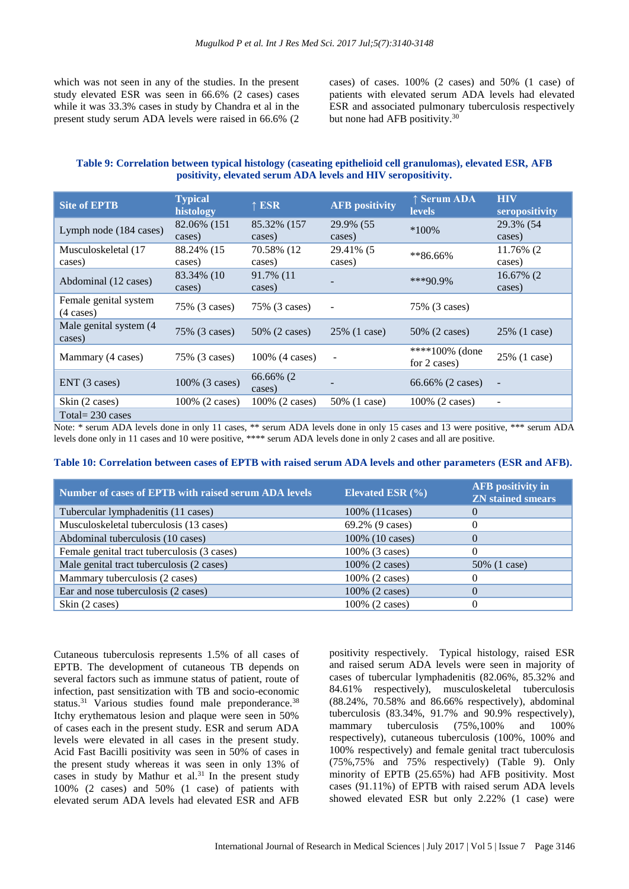which was not seen in any of the studies. In the present study elevated ESR was seen in 66.6% (2 cases) cases while it was 33.3% cases in study by Chandra et al in the present study serum ADA levels were raised in 66.6% (2

cases) of cases. 100% (2 cases) and 50% (1 case) of patients with elevated serum ADA levels had elevated ESR and associated pulmonary tuberculosis respectively but none had AFB positivity.<sup>30</sup>

# **Table 9: Correlation between typical histology (caseating epithelioid cell granulomas), elevated ESR, AFB positivity, elevated serum ADA levels and HIV seropositivity.**

| <b>Site of EPTB</b>                          | <b>Typical</b><br>histology | $\uparrow$ ESR        | <b>AFB</b> positivity    | ↑ Serum ADA<br><b>levels</b>   | <b>HIV</b><br>seropositivity |
|----------------------------------------------|-----------------------------|-----------------------|--------------------------|--------------------------------|------------------------------|
| Lymph node (184 cases)                       | 82.06% (151<br>cases)       | 85.32% (157<br>cases) | 29.9% (55<br>cases)      | $*100\%$                       | 29.3% (54<br>cases)          |
| Musculoskeletal (17<br>cases)                | 88.24% (15<br>cases)        | 70.58% (12<br>cases)  | 29.41% (5<br>cases)      | $*86.66\%$                     | 11.76% (2<br>cases)          |
| Abdominal (12 cases)                         | 83.34% (10<br>cases)        | 91.7% (11)<br>cases)  |                          | $***90.9\%$                    | 16.67% (2<br>cases)          |
| Female genital system<br>$(4 \text{ cases})$ | 75% (3 cases)               | 75% (3 cases)         |                          | 75% (3 cases)                  |                              |
| Male genital system (4)<br>cases)            | 75% (3 cases)               | 50\% (2 cases)        | 25% (1 case)             | 50% (2 cases)                  | 25% (1 case)                 |
| Mammary (4 cases)                            | 75% (3 cases)               | 100% (4 cases)        | $\overline{\phantom{a}}$ | ****100% (done<br>for 2 cases) | 25% (1 case)                 |
| ENT (3 cases)                                | 100% (3 cases)              | 66.66% (2<br>cases)   |                          | 66.66% (2 cases)               |                              |
| Skin (2 cases)                               | 100% (2 cases)              | 100% (2 cases)        | 50% (1 case)             | 100% (2 cases)                 | $\overline{\phantom{a}}$     |
| Total= $230$ cases                           |                             |                       |                          |                                |                              |

Note: \* serum ADA levels done in only 11 cases, \*\* serum ADA levels done in only 15 cases and 13 were positive, \*\*\* serum ADA levels done only in 11 cases and 10 were positive, \*\*\*\* serum ADA levels done in only 2 cases and all are positive.

#### **Table 10: Correlation between cases of EPTB with raised serum ADA levels and other parameters (ESR and AFB).**

| Number of cases of EPTB with raised serum ADA levels | Elevated ESR $(\% )$ | <b>AFB</b> positivity in<br><b>ZN</b> stained smears |
|------------------------------------------------------|----------------------|------------------------------------------------------|
| Tubercular lymphadenitis (11 cases)                  | 100% (11 cases)      | $\theta$                                             |
| Musculoskeletal tuberculosis (13 cases)              | 69.2% (9 cases)      |                                                      |
| Abdominal tuberculosis (10 cases)                    | 100% (10 cases)      | $\Omega$                                             |
| Female genital tract tuberculosis (3 cases)          | 100% (3 cases)       |                                                      |
| Male genital tract tuberculosis (2 cases)            | 100% (2 cases)       | 50% (1 case)                                         |
| Mammary tuberculosis (2 cases)                       | 100% (2 cases)       |                                                      |
| Ear and nose tuberculosis (2 cases)                  | 100% (2 cases)       | $\theta$                                             |
| Skin (2 cases)                                       | 100% (2 cases)       |                                                      |

Cutaneous tuberculosis represents 1.5% of all cases of EPTB. The development of cutaneous TB depends on several factors such as immune status of patient, route of infection, past sensitization with TB and socio-economic status.<sup>31</sup> Various studies found male preponderance.<sup>38</sup> Itchy erythematous lesion and plaque were seen in 50% of cases each in the present study. ESR and serum ADA levels were elevated in all cases in the present study. Acid Fast Bacilli positivity was seen in 50% of cases in the present study whereas it was seen in only 13% of cases in study by Mathur et al. $31$  In the present study 100% (2 cases) and 50% (1 case) of patients with elevated serum ADA levels had elevated ESR and AFB

positivity respectively. Typical histology, raised ESR and raised serum ADA levels were seen in majority of cases of tubercular lymphadenitis (82.06%, 85.32% and 84.61% respectively), musculoskeletal tuberculosis (88.24%, 70.58% and 86.66% respectively), abdominal tuberculosis (83.34%, 91.7% and 90.9% respectively), mammary tuberculosis (75%,100% and 100% respectively), cutaneous tuberculosis (100%, 100% and 100% respectively) and female genital tract tuberculosis (75%,75% and 75% respectively) (Table 9). Only minority of EPTB (25.65%) had AFB positivity. Most cases (91.11%) of EPTB with raised serum ADA levels showed elevated ESR but only 2.22% (1 case) were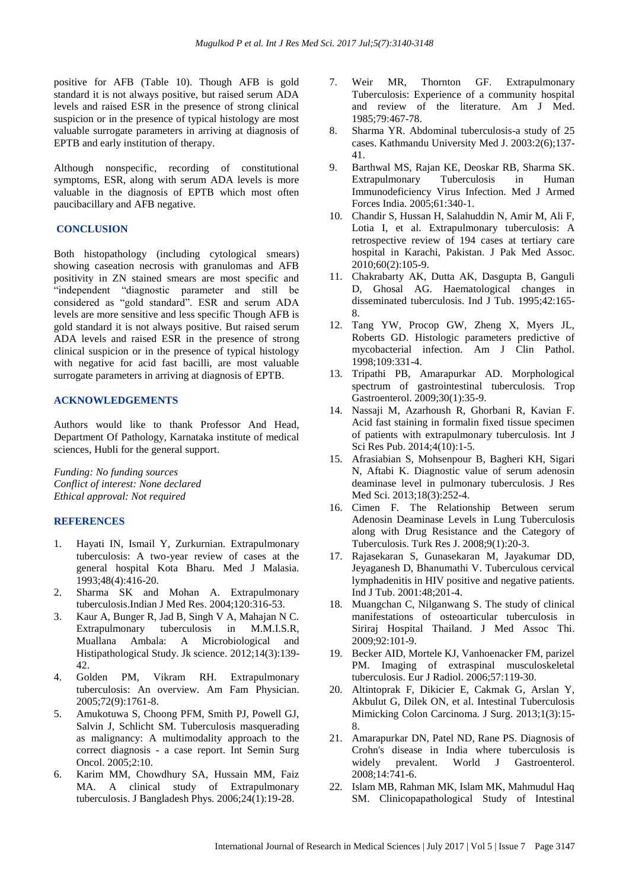positive for AFB (Table 10). Though AFB is gold standard it is not always positive, but raised serum ADA levels and raised ESR in the presence of strong clinical suspicion or in the presence of typical histology are most valuable surrogate parameters in arriving at diagnosis of EPTB and early institution of therapy.

Although nonspecific, recording of constitutional symptoms, ESR, along with serum ADA levels is more valuable in the diagnosis of EPTB which most often paucibacillary and AFB negative.

#### **CONCLUSION**

Both histopathology (including cytological smears) showing caseation necrosis with granulomas and AFB positivity in ZN stained smears are most specific and "independent "diagnostic parameter and still be considered as "gold standard". ESR and serum ADA levels are more sensitive and less specific Though AFB is gold standard it is not always positive. But raised serum ADA levels and raised ESR in the presence of strong clinical suspicion or in the presence of typical histology with negative for acid fast bacilli, are most valuable surrogate parameters in arriving at diagnosis of EPTB.

## **ACKNOWLEDGEMENTS**

Authors would like to thank Professor And Head, Department Of Pathology, Karnataka institute of medical sciences, Hubli for the general support.

*Funding: No funding sources Conflict of interest: None declared Ethical approval: Not required*

# **REFERENCES**

- 1. Hayati IN, Ismail Y, Zurkurnian. Extrapulmonary tuberculosis: A two-year review of cases at the general hospital Kota Bharu. Med J Malasia. 1993;48(4):416-20.
- 2. Sharma SK and Mohan A. Extrapulmonary tuberculosis.Indian J Med Res. 2004;120:316-53.
- 3. Kaur A, Bunger R, Jad B, Singh V A, Mahajan N C. Extrapulmonary tuberculosis in M.M.I.S.R, Muallana Ambala: A Microbiological and Histipathological Study. Jk science. 2012;14(3):139- 42.
- 4. Golden PM, Vikram RH. Extrapulmonary tuberculosis: An overview. Am Fam Physician. 2005;72(9):1761-8.
- 5. Amukotuwa S, Choong PFM, Smith PJ, Powell GJ, Salvin J, Schlicht SM. Tuberculosis masquerading as malignancy: A multimodality approach to the correct diagnosis - a case report. Int Semin Surg Oncol. 2005;2:10.
- 6. Karim MM, Chowdhury SA, Hussain MM, Faiz MA. A clinical study of Extrapulmonary tuberculosis. J Bangladesh Phys. 2006;24(1):19-28.
- 7. Weir MR, Thornton GF. Extrapulmonary Tuberculosis: Experience of a community hospital and review of the literature. Am J Med. 1985;79:467-78.
- 8. Sharma YR. Abdominal tuberculosis-a study of 25 cases. Kathmandu University Med J. 2003:2(6);137- 41.
- 9. Barthwal MS, Rajan KE, Deoskar RB, Sharma SK. Extrapulmonary Tuberculosis in Human Immunodeficiency Virus Infection. Med J Armed Forces India. 2005;61:340-1.
- 10. Chandir S, Hussan H, Salahuddin N, Amir M, Ali F, Lotia I, et al. Extrapulmonary tuberculosis: A retrospective review of 194 cases at tertiary care hospital in Karachi, Pakistan. J Pak Med Assoc. 2010;60(2):105-9.
- 11. Chakrabarty AK, Dutta AK, Dasgupta B, Ganguli D, Ghosal AG. Haematological changes in disseminated tuberculosis. Ind J Tub. 1995;42:165- 8.
- 12. Tang YW, Procop GW, Zheng X, Myers JL, Roberts GD. Histologic parameters predictive of mycobacterial infection. Am J Clin Pathol. 1998;109:331-4.
- 13. Tripathi PB, Amarapurkar AD. Morphological spectrum of gastrointestinal tuberculosis. Trop Gastroenterol. 2009;30(1):35-9.
- 14. Nassaji M, Azarhoush R, Ghorbani R, Kavian F. Acid fast staining in formalin fixed tissue specimen of patients with extrapulmonary tuberculosis. Int J Sci Res Pub. 2014;4(10):1-5.
- 15. Afrasiabian S, Mohsenpour B, Bagheri KH, Sigari N, Aftabi K. Diagnostic value of serum adenosin deaminase level in pulmonary tuberculosis. J Res Med Sci. 2013;18(3):252-4.
- 16. Cimen F. The Relationship Between serum Adenosin Deaminase Levels in Lung Tuberculosis along with Drug Resistance and the Category of Tuberculosis. Turk Res J. 2008;9(1):20-3.
- 17. Rajasekaran S, Gunasekaran M, Jayakumar DD, Jeyaganesh D, Bhanumathi V. Tuberculous cervical lymphadenitis in HIV positive and negative patients. Ind J Tub. 2001:48;201-4.
- 18. Muangchan C, Nilganwang S. The study of clinical manifestations of osteoarticular tuberculosis in Siriraj Hospital Thailand. J Med Assoc Thi. 2009;92:101-9.
- 19. Becker AID, Mortele KJ, Vanhoenacker FM, parizel PM. Imaging of extraspinal musculoskeletal tuberculosis. Eur J Radiol. 2006;57:119-30.
- 20. Altintoprak F, Dikicier E, Cakmak G, Arslan Y, Akbulut G, Dilek ON, et al. Intestinal Tuberculosis Mimicking Colon Carcinoma. J Surg. 2013;1(3):15- 8.
- 21. Amarapurkar DN, Patel ND, Rane PS. Diagnosis of Crohn's disease in India where tuberculosis is widely prevalent. World J Gastroenterol. 2008;14:741-6.
- 22. Islam MB, Rahman MK, Islam MK, Mahmudul Haq SM. Clinicopapathological Study of Intestinal